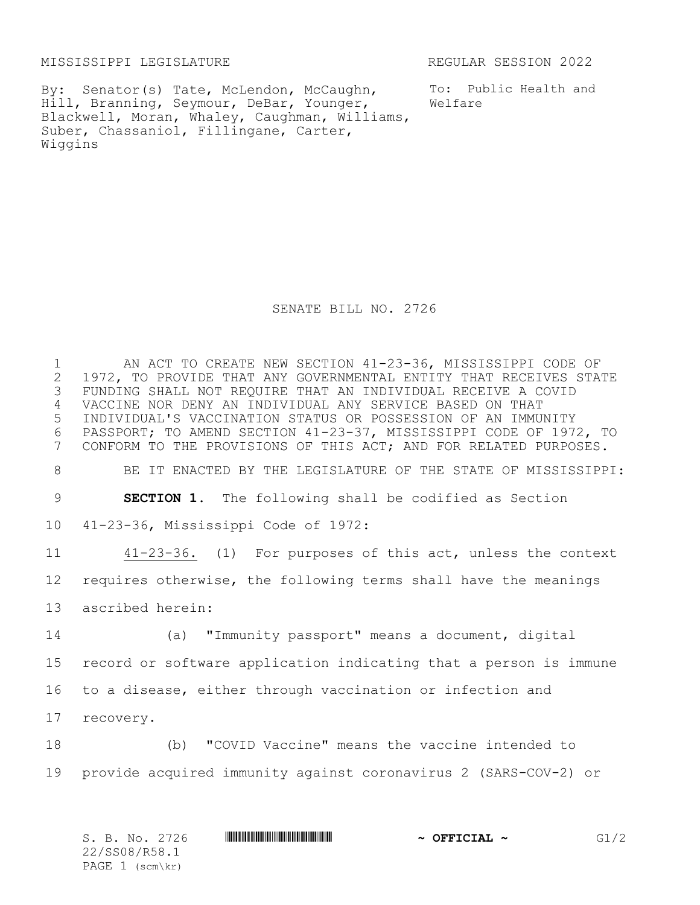MISSISSIPPI LEGISLATURE **REGULAR SESSION 2022** 

By: Senator(s) Tate, McLendon, McCaughn, Hill, Branning, Seymour, DeBar, Younger, Blackwell, Moran, Whaley, Caughman, Williams, Suber, Chassaniol, Fillingane, Carter, Wiggins

To: Public Health and Welfare

SENATE BILL NO. 2726

1 AN ACT TO CREATE NEW SECTION 41-23-36, MISSISSIPPI CODE OF<br>2 1972, TO PROVIDE THAT ANY GOVERNMENTAL ENTITY THAT RECEIVES STA 2 1972, TO PROVIDE THAT ANY GOVERNMENTAL ENTITY THAT RECEIVES STATE<br>3 FUNDING SHALL NOT REQUIRE THAT AN INDIVIDUAL RECEIVE A COVID FUNDING SHALL NOT REQUIRE THAT AN INDIVIDUAL RECEIVE A COVID VACCINE NOR DENY AN INDIVIDUAL ANY SERVICE BASED ON THAT INDIVIDUAL'S VACCINATION STATUS OR POSSESSION OF AN IMMUNITY PASSPORT; TO AMEND SECTION 41-23-37, MISSISSIPPI CODE OF 1972, TO CONFORM TO THE PROVISIONS OF THIS ACT; AND FOR RELATED PURPOSES. BE IT ENACTED BY THE LEGISLATURE OF THE STATE OF MISSISSIPPI: **SECTION 1.** The following shall be codified as Section 41-23-36, Mississippi Code of 1972: 41-23-36. (1) For purposes of this act, unless the context requires otherwise, the following terms shall have the meanings ascribed herein: (a) "Immunity passport" means a document, digital record or software application indicating that a person is immune to a disease, either through vaccination or infection and recovery.

18 (b) "COVID Vaccine" means the vaccine intended to 19 provide acquired immunity against coronavirus 2 (SARS-COV-2) or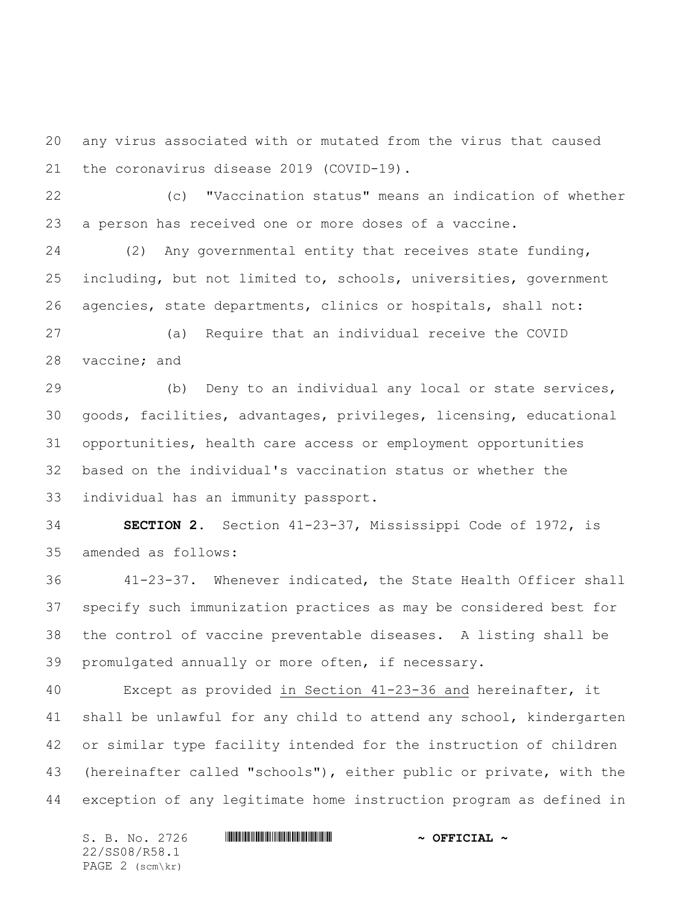any virus associated with or mutated from the virus that caused the coronavirus disease 2019 (COVID-19).

 (c) "Vaccination status" means an indication of whether a person has received one or more doses of a vaccine.

 (2) Any governmental entity that receives state funding, including, but not limited to, schools, universities, government agencies, state departments, clinics or hospitals, shall not:

 (a) Require that an individual receive the COVID vaccine; and

 (b) Deny to an individual any local or state services, goods, facilities, advantages, privileges, licensing, educational opportunities, health care access or employment opportunities based on the individual's vaccination status or whether the individual has an immunity passport.

 **SECTION 2.** Section 41-23-37, Mississippi Code of 1972, is amended as follows:

 41-23-37. Whenever indicated, the State Health Officer shall specify such immunization practices as may be considered best for the control of vaccine preventable diseases. A listing shall be promulgated annually or more often, if necessary.

 Except as provided in Section 41-23-36 and hereinafter, it shall be unlawful for any child to attend any school, kindergarten or similar type facility intended for the instruction of children (hereinafter called "schools"), either public or private, with the exception of any legitimate home instruction program as defined in

S. B. No. 2726 \*SS08/R58.1\* **~ OFFICIAL ~** 22/SS08/R58.1 PAGE 2 (scm\kr)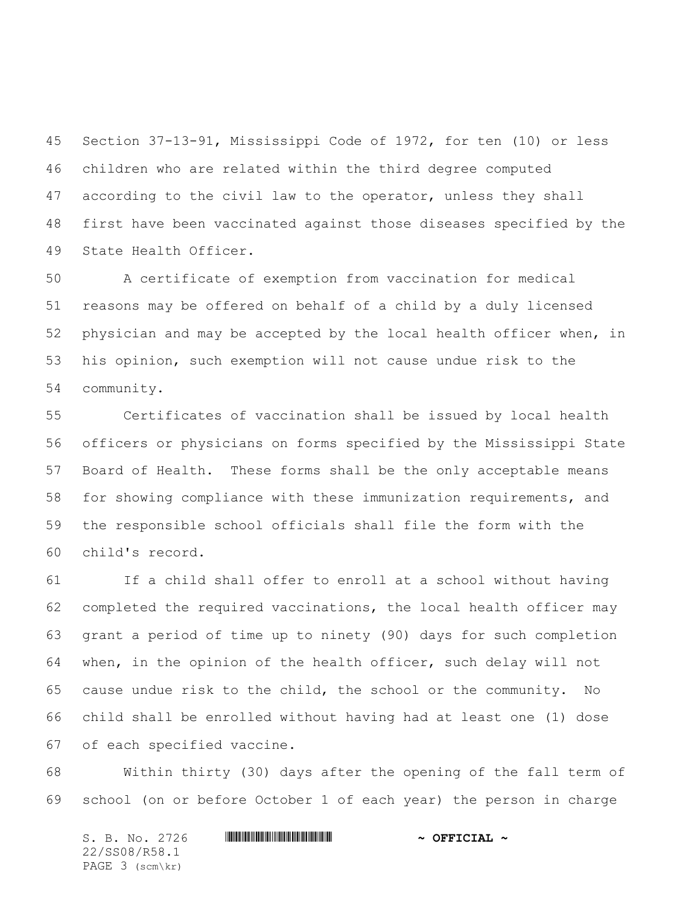Section 37-13-91, Mississippi Code of 1972, for ten (10) or less children who are related within the third degree computed according to the civil law to the operator, unless they shall first have been vaccinated against those diseases specified by the State Health Officer.

 A certificate of exemption from vaccination for medical reasons may be offered on behalf of a child by a duly licensed physician and may be accepted by the local health officer when, in his opinion, such exemption will not cause undue risk to the community.

 Certificates of vaccination shall be issued by local health officers or physicians on forms specified by the Mississippi State Board of Health. These forms shall be the only acceptable means for showing compliance with these immunization requirements, and the responsible school officials shall file the form with the child's record.

 If a child shall offer to enroll at a school without having completed the required vaccinations, the local health officer may grant a period of time up to ninety (90) days for such completion when, in the opinion of the health officer, such delay will not cause undue risk to the child, the school or the community. No child shall be enrolled without having had at least one (1) dose of each specified vaccine.

 Within thirty (30) days after the opening of the fall term of school (on or before October 1 of each year) the person in charge

S. B. No. 2726 \*SS08/R58.1\* **~ OFFICIAL ~** 22/SS08/R58.1 PAGE 3 (scm\kr)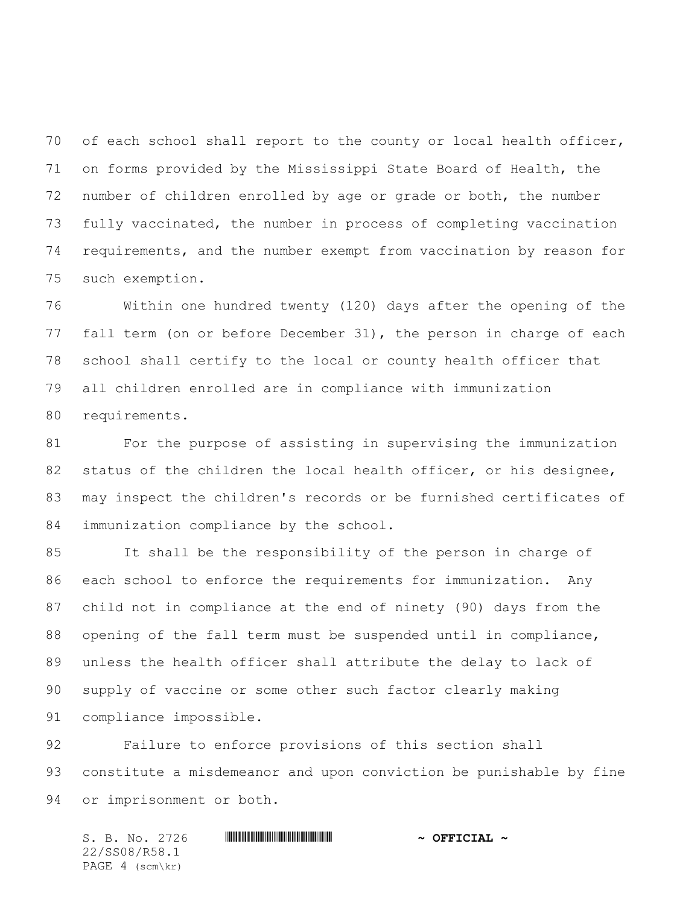70 of each school shall report to the county or local health officer, on forms provided by the Mississippi State Board of Health, the number of children enrolled by age or grade or both, the number fully vaccinated, the number in process of completing vaccination requirements, and the number exempt from vaccination by reason for such exemption.

 Within one hundred twenty (120) days after the opening of the fall term (on or before December 31), the person in charge of each school shall certify to the local or county health officer that all children enrolled are in compliance with immunization requirements.

 For the purpose of assisting in supervising the immunization 82 status of the children the local health officer, or his designee, may inspect the children's records or be furnished certificates of immunization compliance by the school.

 It shall be the responsibility of the person in charge of each school to enforce the requirements for immunization. Any child not in compliance at the end of ninety (90) days from the opening of the fall term must be suspended until in compliance, unless the health officer shall attribute the delay to lack of supply of vaccine or some other such factor clearly making compliance impossible.

 Failure to enforce provisions of this section shall constitute a misdemeanor and upon conviction be punishable by fine or imprisonment or both.

S. B. No. 2726 \*SS08/R58.1\* **~ OFFICIAL ~** 22/SS08/R58.1 PAGE 4 (scm\kr)